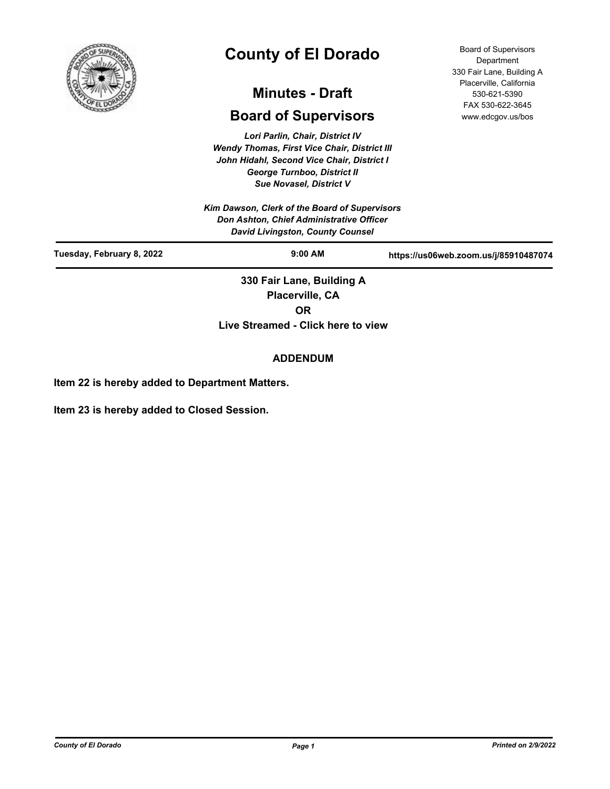

# **County of El Dorado**

## **Minutes - Draft**

## **Board of Supervisors**

*Lori Parlin, Chair, District IV Wendy Thomas, First Vice Chair, District III John Hidahl, Second Vice Chair, District I George Turnboo, District II Sue Novasel, District V*

*Kim Dawson, Clerk of the Board of Supervisors Don Ashton, Chief Administrative Officer David Livingston, County Counsel*

Board of Supervisors **Department** 330 Fair Lane, Building A Placerville, California 530-621-5390 FAX 530-622-3645 www.edcgov.us/bos

| David Livingston, County Counsel |                           |                                       |
|----------------------------------|---------------------------|---------------------------------------|
| Tuesday, February 8, 2022        | $9:00$ AM                 | https://us06web.zoom.us/j/85910487074 |
|                                  | 330 Fair Lane, Building A |                                       |
|                                  | Placerville, CA           |                                       |
|                                  | OR                        |                                       |

**Live Streamed - Click here to view**

#### **ADDENDUM**

**Item 22 is hereby added to Department Matters.**

**Item 23 is hereby added to Closed Session.**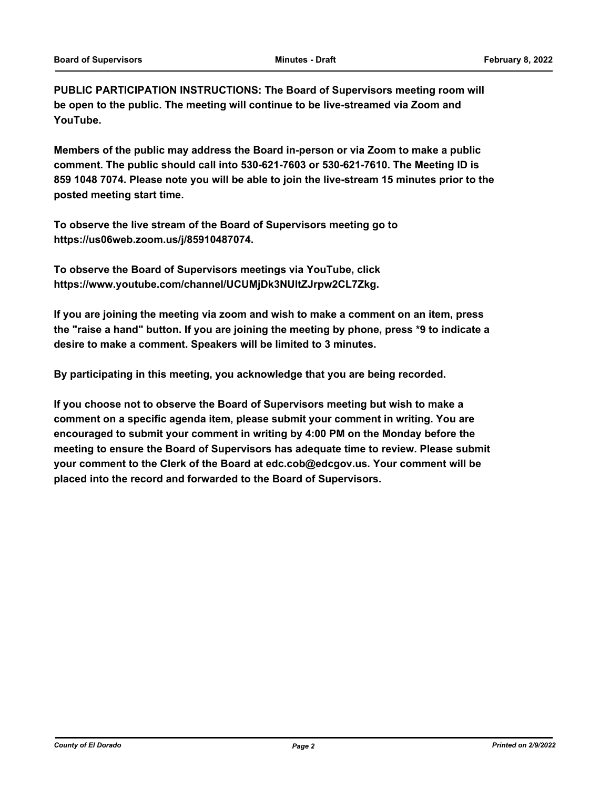**PUBLIC PARTICIPATION INSTRUCTIONS: The Board of Supervisors meeting room will be open to the public. The meeting will continue to be live-streamed via Zoom and YouTube.**

**Members of the public may address the Board in-person or via Zoom to make a public comment. The public should call into 530-621-7603 or 530-621-7610. The Meeting ID is 859 1048 7074. Please note you will be able to join the live-stream 15 minutes prior to the posted meeting start time.**

**To observe the live stream of the Board of Supervisors meeting go to https://us06web.zoom.us/j/85910487074.**

**To observe the Board of Supervisors meetings via YouTube, click https://www.youtube.com/channel/UCUMjDk3NUltZJrpw2CL7Zkg.**

**If you are joining the meeting via zoom and wish to make a comment on an item, press the "raise a hand" button. If you are joining the meeting by phone, press \*9 to indicate a desire to make a comment. Speakers will be limited to 3 minutes.**

**By participating in this meeting, you acknowledge that you are being recorded.**

**If you choose not to observe the Board of Supervisors meeting but wish to make a comment on a specific agenda item, please submit your comment in writing. You are encouraged to submit your comment in writing by 4:00 PM on the Monday before the meeting to ensure the Board of Supervisors has adequate time to review. Please submit your comment to the Clerk of the Board at edc.cob@edcgov.us. Your comment will be placed into the record and forwarded to the Board of Supervisors.**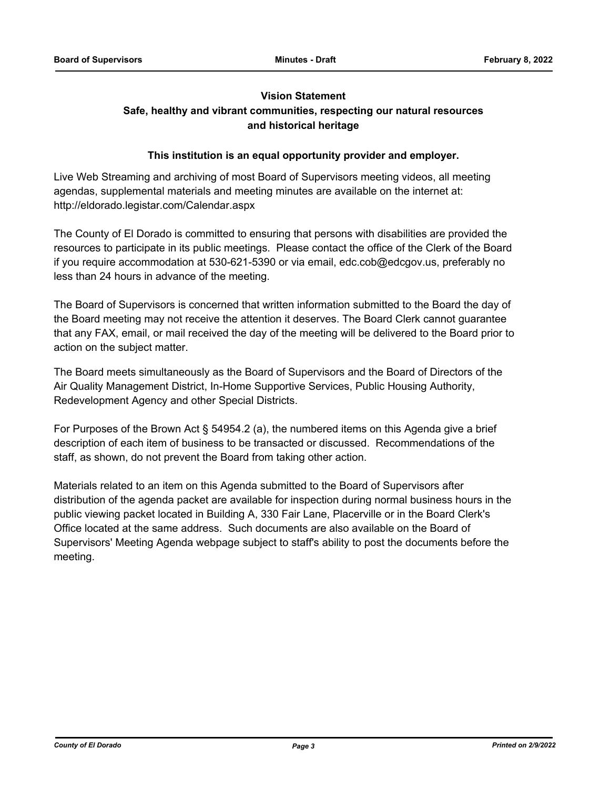### **Vision Statement Safe, healthy and vibrant communities, respecting our natural resources and historical heritage**

#### **This institution is an equal opportunity provider and employer.**

Live Web Streaming and archiving of most Board of Supervisors meeting videos, all meeting agendas, supplemental materials and meeting minutes are available on the internet at: http://eldorado.legistar.com/Calendar.aspx

The County of El Dorado is committed to ensuring that persons with disabilities are provided the resources to participate in its public meetings. Please contact the office of the Clerk of the Board if you require accommodation at 530-621-5390 or via email, edc.cob@edcgov.us, preferably no less than 24 hours in advance of the meeting.

The Board of Supervisors is concerned that written information submitted to the Board the day of the Board meeting may not receive the attention it deserves. The Board Clerk cannot guarantee that any FAX, email, or mail received the day of the meeting will be delivered to the Board prior to action on the subject matter.

The Board meets simultaneously as the Board of Supervisors and the Board of Directors of the Air Quality Management District, In-Home Supportive Services, Public Housing Authority, Redevelopment Agency and other Special Districts.

For Purposes of the Brown Act § 54954.2 (a), the numbered items on this Agenda give a brief description of each item of business to be transacted or discussed. Recommendations of the staff, as shown, do not prevent the Board from taking other action.

Materials related to an item on this Agenda submitted to the Board of Supervisors after distribution of the agenda packet are available for inspection during normal business hours in the public viewing packet located in Building A, 330 Fair Lane, Placerville or in the Board Clerk's Office located at the same address. Such documents are also available on the Board of Supervisors' Meeting Agenda webpage subject to staff's ability to post the documents before the meeting.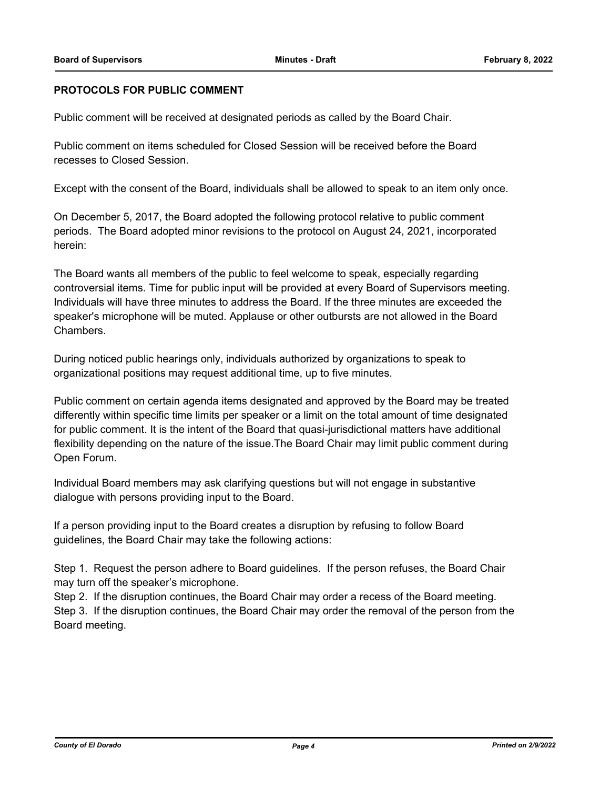#### **PROTOCOLS FOR PUBLIC COMMENT**

Public comment will be received at designated periods as called by the Board Chair.

Public comment on items scheduled for Closed Session will be received before the Board recesses to Closed Session.

Except with the consent of the Board, individuals shall be allowed to speak to an item only once.

On December 5, 2017, the Board adopted the following protocol relative to public comment periods. The Board adopted minor revisions to the protocol on August 24, 2021, incorporated herein:

The Board wants all members of the public to feel welcome to speak, especially regarding controversial items. Time for public input will be provided at every Board of Supervisors meeting. Individuals will have three minutes to address the Board. If the three minutes are exceeded the speaker's microphone will be muted. Applause or other outbursts are not allowed in the Board Chambers.

During noticed public hearings only, individuals authorized by organizations to speak to organizational positions may request additional time, up to five minutes.

Public comment on certain agenda items designated and approved by the Board may be treated differently within specific time limits per speaker or a limit on the total amount of time designated for public comment. It is the intent of the Board that quasi-jurisdictional matters have additional flexibility depending on the nature of the issue.The Board Chair may limit public comment during Open Forum.

Individual Board members may ask clarifying questions but will not engage in substantive dialogue with persons providing input to the Board.

If a person providing input to the Board creates a disruption by refusing to follow Board guidelines, the Board Chair may take the following actions:

Step 1. Request the person adhere to Board guidelines. If the person refuses, the Board Chair may turn off the speaker's microphone.

Step 2. If the disruption continues, the Board Chair may order a recess of the Board meeting. Step 3. If the disruption continues, the Board Chair may order the removal of the person from the Board meeting.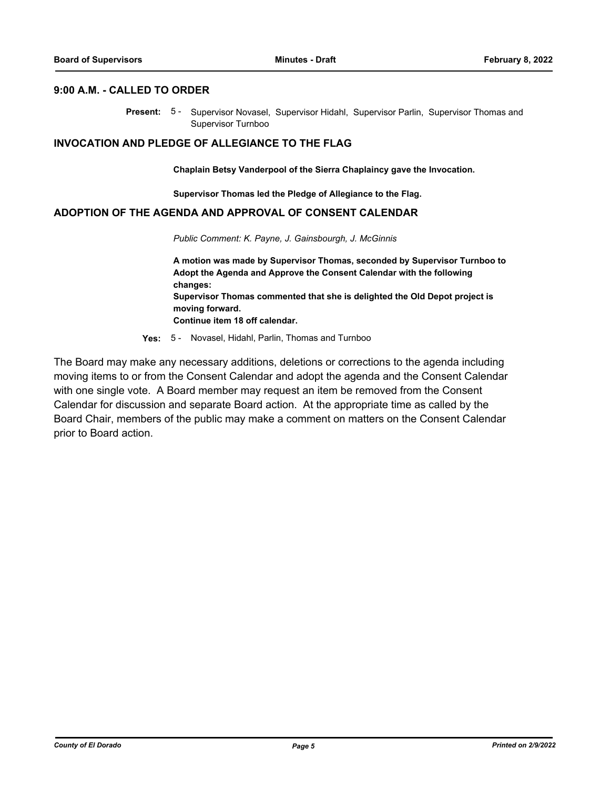#### **9:00 A.M. - CALLED TO ORDER**

Present: 5- Supervisor Novasel, Supervisor Hidahl, Supervisor Parlin, Supervisor Thomas and Supervisor Turnboo

#### **INVOCATION AND PLEDGE OF ALLEGIANCE TO THE FLAG**

**Chaplain Betsy Vanderpool of the Sierra Chaplaincy gave the Invocation.**

**Supervisor Thomas led the Pledge of Allegiance to the Flag.**

#### **ADOPTION OF THE AGENDA AND APPROVAL OF CONSENT CALENDAR**

*Public Comment: K. Payne, J. Gainsbourgh, J. McGinnis*

**A motion was made by Supervisor Thomas, seconded by Supervisor Turnboo to Adopt the Agenda and Approve the Consent Calendar with the following changes: Supervisor Thomas commented that she is delighted the Old Depot project is moving forward. Continue item 18 off calendar.**

**Yes:** 5 - Novasel, Hidahl, Parlin, Thomas and Turnboo

The Board may make any necessary additions, deletions or corrections to the agenda including moving items to or from the Consent Calendar and adopt the agenda and the Consent Calendar with one single vote. A Board member may request an item be removed from the Consent Calendar for discussion and separate Board action. At the appropriate time as called by the Board Chair, members of the public may make a comment on matters on the Consent Calendar prior to Board action.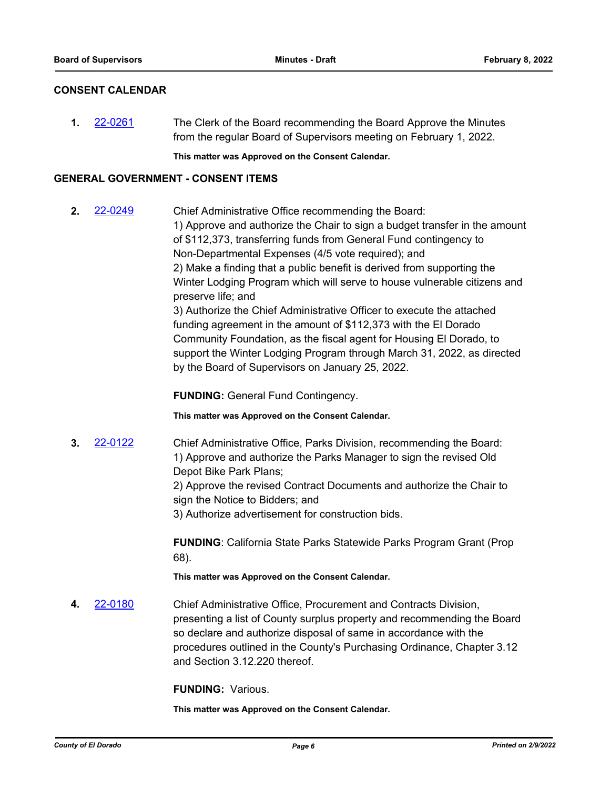#### **CONSENT CALENDAR**

**1.** [22-0261](http://eldorado.legistar.com/gateway.aspx?m=l&id=/matter.aspx?key=31162) The Clerk of the Board recommending the Board Approve the Minutes from the regular Board of Supervisors meeting on February 1, 2022.

**This matter was Approved on the Consent Calendar.**

#### **GENERAL GOVERNMENT - CONSENT ITEMS**

**2.** [22-0249](http://eldorado.legistar.com/gateway.aspx?m=l&id=/matter.aspx?key=31150) Chief Administrative Office recommending the Board: 1) Approve and authorize the Chair to sign a budget transfer in the amount of \$112,373, transferring funds from General Fund contingency to Non-Departmental Expenses (4/5 vote required); and 2) Make a finding that a public benefit is derived from supporting the Winter Lodging Program which will serve to house vulnerable citizens and preserve life; and 3) Authorize the Chief Administrative Officer to execute the attached funding agreement in the amount of \$112,373 with the El Dorado Community Foundation, as the fiscal agent for Housing El Dorado, to support the Winter Lodging Program through March 31, 2022, as directed by the Board of Supervisors on January 25, 2022.

**FUNDING:** General Fund Contingency.

**This matter was Approved on the Consent Calendar.**

**3.** [22-0122](http://eldorado.legistar.com/gateway.aspx?m=l&id=/matter.aspx?key=31023) Chief Administrative Office, Parks Division, recommending the Board: 1) Approve and authorize the Parks Manager to sign the revised Old Depot Bike Park Plans;

> 2) Approve the revised Contract Documents and authorize the Chair to sign the Notice to Bidders; and

3) Authorize advertisement for construction bids.

**FUNDING**: California State Parks Statewide Parks Program Grant (Prop 68).

**This matter was Approved on the Consent Calendar.**

**4.** [22-0180](http://eldorado.legistar.com/gateway.aspx?m=l&id=/matter.aspx?key=31081) Chief Administrative Office, Procurement and Contracts Division, presenting a list of County surplus property and recommending the Board so declare and authorize disposal of same in accordance with the procedures outlined in the County's Purchasing Ordinance, Chapter 3.12 and Section 3.12.220 thereof.

**FUNDING:** Various.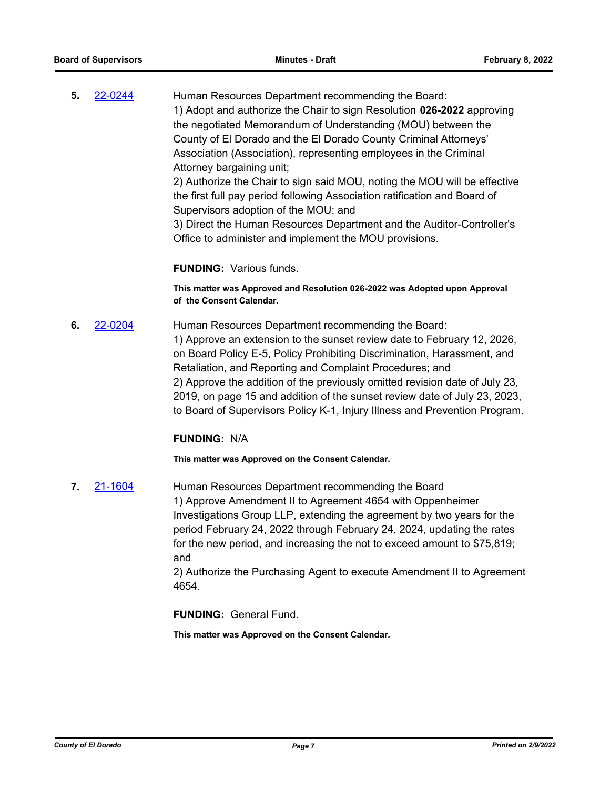**5.** [22-0244](http://eldorado.legistar.com/gateway.aspx?m=l&id=/matter.aspx?key=31145) Human Resources Department recommending the Board: 1) Adopt and authorize the Chair to sign Resolution **026-2022** approving the negotiated Memorandum of Understanding (MOU) between the County of El Dorado and the El Dorado County Criminal Attorneys' Association (Association), representing employees in the Criminal Attorney bargaining unit; 2) Authorize the Chair to sign said MOU, noting the MOU will be effective

the first full pay period following Association ratification and Board of Supervisors adoption of the MOU; and

3) Direct the Human Resources Department and the Auditor-Controller's Office to administer and implement the MOU provisions.

#### **FUNDING:** Various funds.

**This matter was Approved and Resolution 026-2022 was Adopted upon Approval of the Consent Calendar.**

**6.** [22-0204](http://eldorado.legistar.com/gateway.aspx?m=l&id=/matter.aspx?key=31105) Human Resources Department recommending the Board: 1) Approve an extension to the sunset review date to February 12, 2026, on Board Policy E-5, Policy Prohibiting Discrimination, Harassment, and Retaliation, and Reporting and Complaint Procedures; and 2) Approve the addition of the previously omitted revision date of July 23, 2019, on page 15 and addition of the sunset review date of July 23, 2023, to Board of Supervisors Policy K-1, Injury Illness and Prevention Program.

#### **FUNDING:** N/A

**This matter was Approved on the Consent Calendar.**

**7.** [21-1604](http://eldorado.legistar.com/gateway.aspx?m=l&id=/matter.aspx?key=30499) Human Resources Department recommending the Board 1) Approve Amendment II to Agreement 4654 with Oppenheimer Investigations Group LLP, extending the agreement by two years for the period February 24, 2022 through February 24, 2024, updating the rates for the new period, and increasing the not to exceed amount to \$75,819; and

2) Authorize the Purchasing Agent to execute Amendment II to Agreement 4654.

**FUNDING:** General Fund.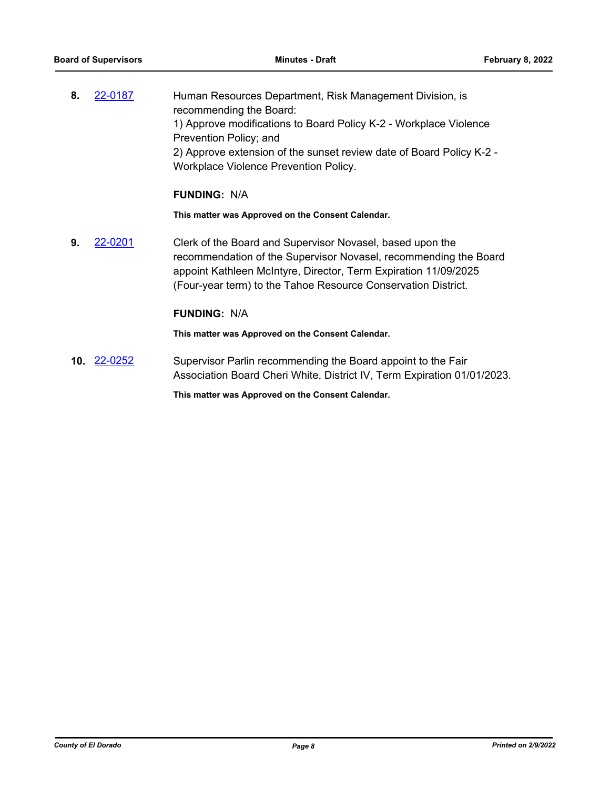**8.** [22-0187](http://eldorado.legistar.com/gateway.aspx?m=l&id=/matter.aspx?key=31088) Human Resources Department, Risk Management Division, is recommending the Board: 1) Approve modifications to Board Policy K-2 - Workplace Violence Prevention Policy; and 2) Approve extension of the sunset review date of Board Policy K-2 - Workplace Violence Prevention Policy.

#### **FUNDING:** N/A

**This matter was Approved on the Consent Calendar.**

**9.** [22-0201](http://eldorado.legistar.com/gateway.aspx?m=l&id=/matter.aspx?key=31102) Clerk of the Board and Supervisor Novasel, based upon the recommendation of the Supervisor Novasel, recommending the Board appoint Kathleen McIntyre, Director, Term Expiration 11/09/2025 (Four-year term) to the Tahoe Resource Conservation District.

#### **FUNDING:** N/A

**This matter was Approved on the Consent Calendar.**

**10.** [22-0252](http://eldorado.legistar.com/gateway.aspx?m=l&id=/matter.aspx?key=31153) Supervisor Parlin recommending the Board appoint to the Fair Association Board Cheri White, District IV, Term Expiration 01/01/2023.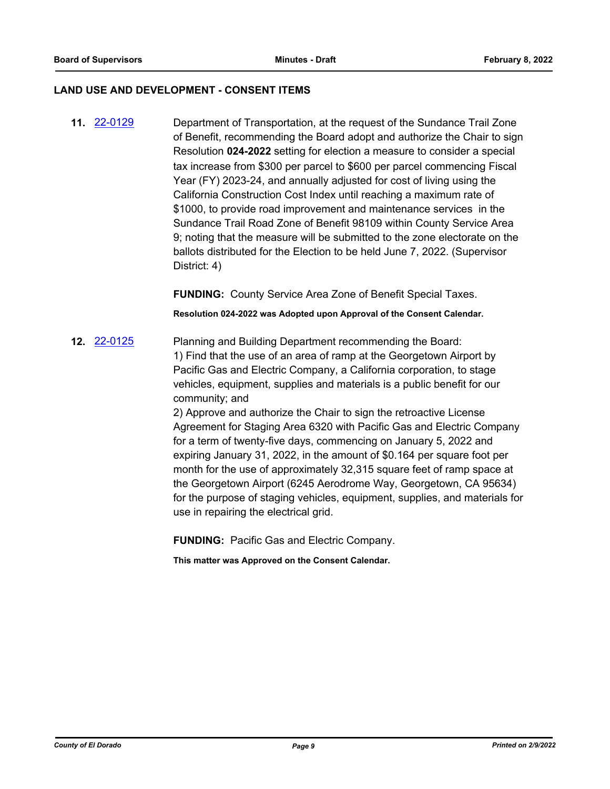#### **LAND USE AND DEVELOPMENT - CONSENT ITEMS**

**11.** [22-0129](http://eldorado.legistar.com/gateway.aspx?m=l&id=/matter.aspx?key=31030) Department of Transportation, at the request of the Sundance Trail Zone of Benefit, recommending the Board adopt and authorize the Chair to sign Resolution **024-2022** setting for election a measure to consider a special tax increase from \$300 per parcel to \$600 per parcel commencing Fiscal Year (FY) 2023-24, and annually adjusted for cost of living using the California Construction Cost Index until reaching a maximum rate of \$1000, to provide road improvement and maintenance services in the Sundance Trail Road Zone of Benefit 98109 within County Service Area 9; noting that the measure will be submitted to the zone electorate on the ballots distributed for the Election to be held June 7, 2022. (Supervisor District: 4)

**FUNDING:** County Service Area Zone of Benefit Special Taxes.

**Resolution 024-2022 was Adopted upon Approval of the Consent Calendar.**

**12.** [22-0125](http://eldorado.legistar.com/gateway.aspx?m=l&id=/matter.aspx?key=31026) Planning and Building Department recommending the Board: 1) Find that the use of an area of ramp at the Georgetown Airport by Pacific Gas and Electric Company, a California corporation, to stage vehicles, equipment, supplies and materials is a public benefit for our community; and

> 2) Approve and authorize the Chair to sign the retroactive License Agreement for Staging Area 6320 with Pacific Gas and Electric Company for a term of twenty-five days, commencing on January 5, 2022 and expiring January 31, 2022, in the amount of \$0.164 per square foot per month for the use of approximately 32,315 square feet of ramp space at the Georgetown Airport (6245 Aerodrome Way, Georgetown, CA 95634) for the purpose of staging vehicles, equipment, supplies, and materials for use in repairing the electrical grid.

**FUNDING:** Pacific Gas and Electric Company.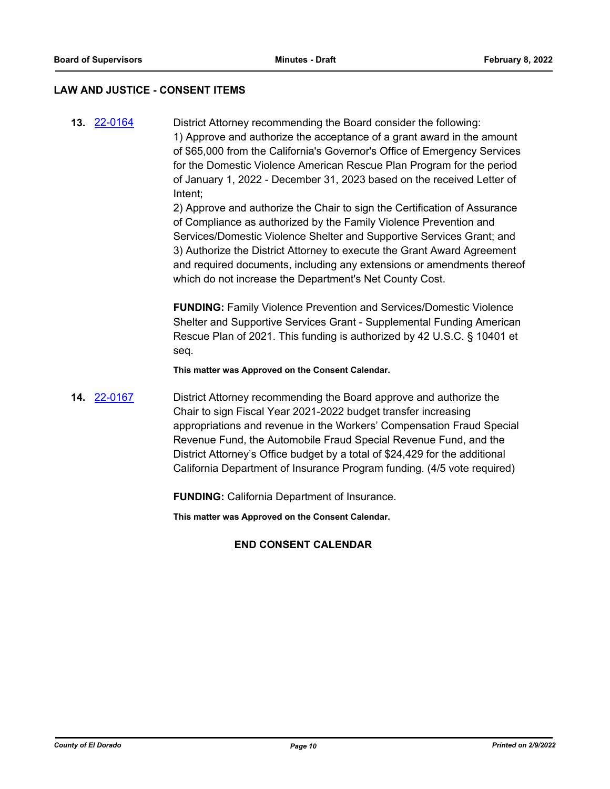#### **LAW AND JUSTICE - CONSENT ITEMS**

**13.** [22-0164](http://eldorado.legistar.com/gateway.aspx?m=l&id=/matter.aspx?key=31065) District Attorney recommending the Board consider the following: 1) Approve and authorize the acceptance of a grant award in the amount of \$65,000 from the California's Governor's Office of Emergency Services for the Domestic Violence American Rescue Plan Program for the period of January 1, 2022 - December 31, 2023 based on the received Letter of Intent;

> 2) Approve and authorize the Chair to sign the Certification of Assurance of Compliance as authorized by the Family Violence Prevention and Services/Domestic Violence Shelter and Supportive Services Grant; and 3) Authorize the District Attorney to execute the Grant Award Agreement and required documents, including any extensions or amendments thereof which do not increase the Department's Net County Cost.

**FUNDING:** Family Violence Prevention and Services/Domestic Violence Shelter and Supportive Services Grant - Supplemental Funding American Rescue Plan of 2021. This funding is authorized by 42 U.S.C. § 10401 et seq.

**This matter was Approved on the Consent Calendar.**

**14.** [22-0167](http://eldorado.legistar.com/gateway.aspx?m=l&id=/matter.aspx?key=31068) District Attorney recommending the Board approve and authorize the Chair to sign Fiscal Year 2021-2022 budget transfer increasing appropriations and revenue in the Workers' Compensation Fraud Special Revenue Fund, the Automobile Fraud Special Revenue Fund, and the District Attorney's Office budget by a total of \$24,429 for the additional California Department of Insurance Program funding. (4/5 vote required)

**FUNDING:** California Department of Insurance.

**This matter was Approved on the Consent Calendar.**

#### **END CONSENT CALENDAR**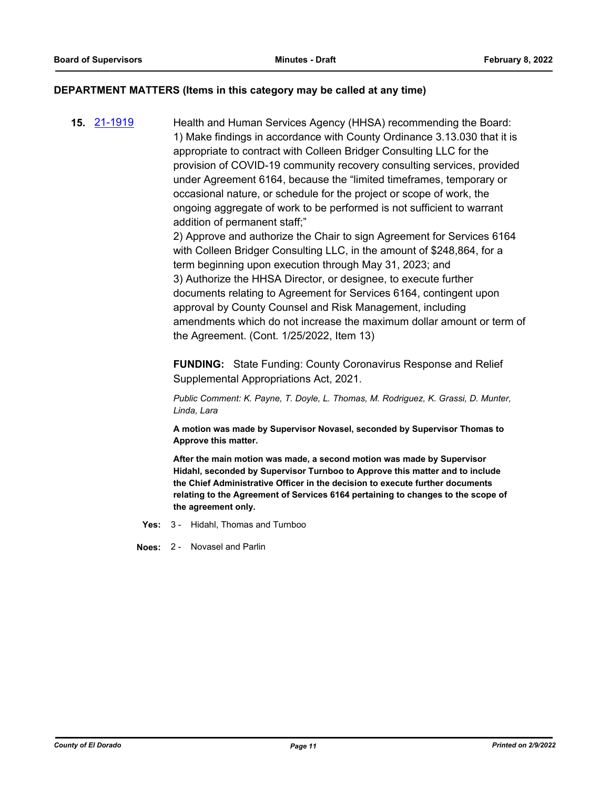#### **DEPARTMENT MATTERS (Items in this category may be called at any time)**

**15.** [21-1919](http://eldorado.legistar.com/gateway.aspx?m=l&id=/matter.aspx?key=30815) Health and Human Services Agency (HHSA) recommending the Board: 1) Make findings in accordance with County Ordinance 3.13.030 that it is appropriate to contract with Colleen Bridger Consulting LLC for the provision of COVID-19 community recovery consulting services, provided under Agreement 6164, because the "limited timeframes, temporary or occasional nature, or schedule for the project or scope of work, the ongoing aggregate of work to be performed is not sufficient to warrant addition of permanent staff;"

2) Approve and authorize the Chair to sign Agreement for Services 6164 with Colleen Bridger Consulting LLC, in the amount of \$248,864, for a term beginning upon execution through May 31, 2023; and 3) Authorize the HHSA Director, or designee, to execute further documents relating to Agreement for Services 6164, contingent upon approval by County Counsel and Risk Management, including amendments which do not increase the maximum dollar amount or term of the Agreement. (Cont. 1/25/2022, Item 13)

**FUNDING:** State Funding: County Coronavirus Response and Relief Supplemental Appropriations Act, 2021.

*Public Comment: K. Payne, T. Doyle, L. Thomas, M. Rodriguez, K. Grassi, D. Munter, Linda, Lara*

**A motion was made by Supervisor Novasel, seconded by Supervisor Thomas to Approve this matter.**

**After the main motion was made, a second motion was made by Supervisor Hidahl, seconded by Supervisor Turnboo to Approve this matter and to include the Chief Administrative Officer in the decision to execute further documents relating to the Agreement of Services 6164 pertaining to changes to the scope of the agreement only.**

**Yes:** 3 - Hidahl, Thomas and Turnboo

**Noes:** 2 - Novasel and Parlin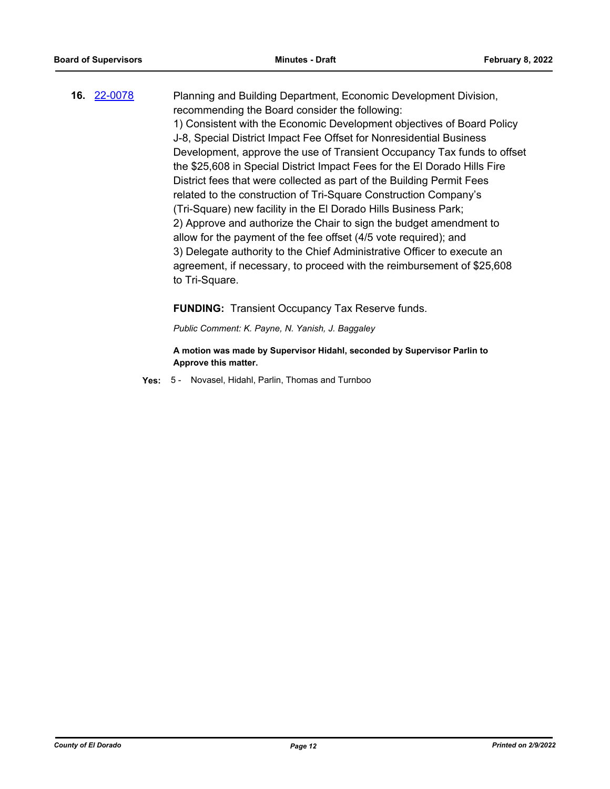**16.** [22-0078](http://eldorado.legistar.com/gateway.aspx?m=l&id=/matter.aspx?key=30978) Planning and Building Department, Economic Development Division, recommending the Board consider the following: 1) Consistent with the Economic Development objectives of Board Policy J-8, Special District Impact Fee Offset for Nonresidential Business Development, approve the use of Transient Occupancy Tax funds to offset the \$25,608 in Special District Impact Fees for the El Dorado Hills Fire District fees that were collected as part of the Building Permit Fees related to the construction of Tri-Square Construction Company's (Tri-Square) new facility in the El Dorado Hills Business Park; 2) Approve and authorize the Chair to sign the budget amendment to allow for the payment of the fee offset (4/5 vote required); and 3) Delegate authority to the Chief Administrative Officer to execute an agreement, if necessary, to proceed with the reimbursement of \$25,608 to Tri-Square.

**FUNDING:** Transient Occupancy Tax Reserve funds.

*Public Comment: K. Payne, N. Yanish, J. Baggaley*

**A motion was made by Supervisor Hidahl, seconded by Supervisor Parlin to Approve this matter.**

**Yes:** 5 - Novasel, Hidahl, Parlin, Thomas and Turnboo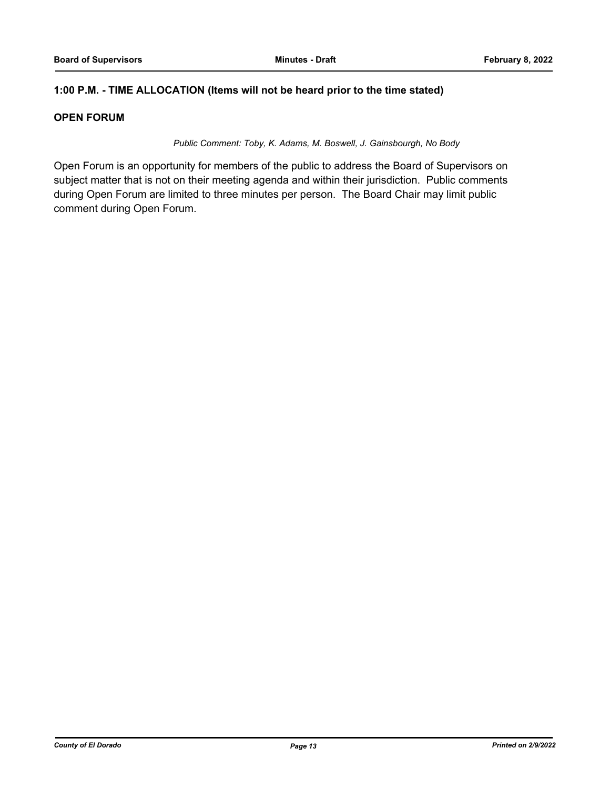#### **1:00 P.M. - TIME ALLOCATION (Items will not be heard prior to the time stated)**

#### **OPEN FORUM**

*Public Comment: Toby, K. Adams, M. Boswell, J. Gainsbourgh, No Body*

Open Forum is an opportunity for members of the public to address the Board of Supervisors on subject matter that is not on their meeting agenda and within their jurisdiction. Public comments during Open Forum are limited to three minutes per person. The Board Chair may limit public comment during Open Forum.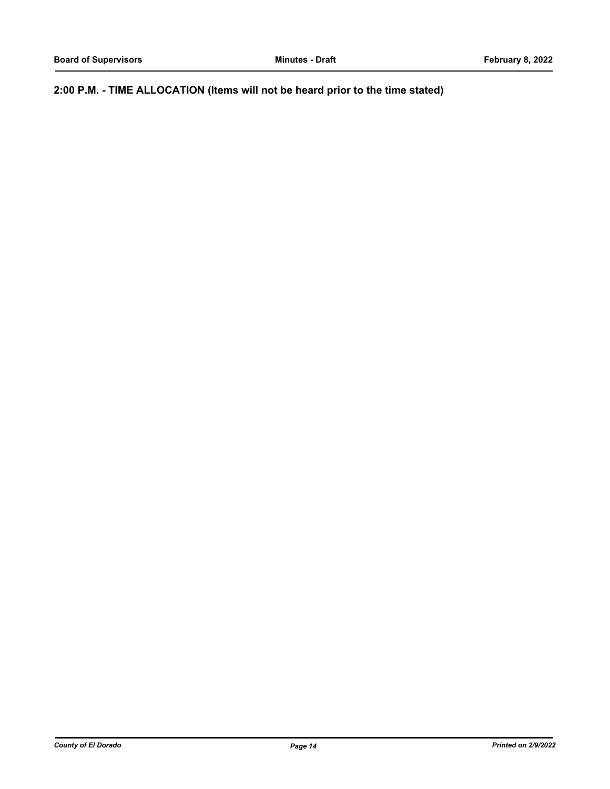**2:00 P.M. - TIME ALLOCATION (Items will not be heard prior to the time stated)**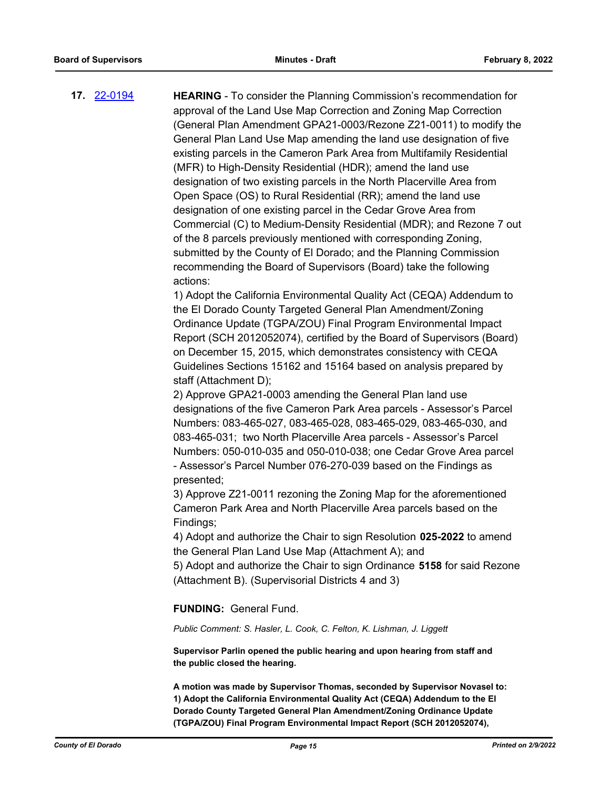**17.** [22-0194](http://eldorado.legistar.com/gateway.aspx?m=l&id=/matter.aspx?key=31095) **HEARING** - To consider the Planning Commission's recommendation for approval of the Land Use Map Correction and Zoning Map Correction (General Plan Amendment GPA21-0003/Rezone Z21-0011) to modify the General Plan Land Use Map amending the land use designation of five existing parcels in the Cameron Park Area from Multifamily Residential (MFR) to High-Density Residential (HDR); amend the land use designation of two existing parcels in the North Placerville Area from Open Space (OS) to Rural Residential (RR); amend the land use designation of one existing parcel in the Cedar Grove Area from Commercial (C) to Medium-Density Residential (MDR); and Rezone 7 out of the 8 parcels previously mentioned with corresponding Zoning, submitted by the County of El Dorado; and the Planning Commission recommending the Board of Supervisors (Board) take the following actions:

> 1) Adopt the California Environmental Quality Act (CEQA) Addendum to the El Dorado County Targeted General Plan Amendment/Zoning Ordinance Update (TGPA/ZOU) Final Program Environmental Impact Report (SCH 2012052074), certified by the Board of Supervisors (Board) on December 15, 2015, which demonstrates consistency with CEQA Guidelines Sections 15162 and 15164 based on analysis prepared by staff (Attachment D);

> 2) Approve GPA21-0003 amending the General Plan land use designations of the five Cameron Park Area parcels - Assessor's Parcel Numbers: 083-465-027, 083-465-028, 083-465-029, 083-465-030, and 083-465-031; two North Placerville Area parcels - Assessor's Parcel Numbers: 050-010-035 and 050-010-038; one Cedar Grove Area parcel - Assessor's Parcel Number 076-270-039 based on the Findings as presented;

3) Approve Z21-0011 rezoning the Zoning Map for the aforementioned Cameron Park Area and North Placerville Area parcels based on the Findings;

4) Adopt and authorize the Chair to sign Resolution **025-2022** to amend the General Plan Land Use Map (Attachment A); and

5) Adopt and authorize the Chair to sign Ordinance **5158** for said Rezone (Attachment B). (Supervisorial Districts 4 and 3)

**FUNDING:** General Fund.

*Public Comment: S. Hasler, L. Cook, C. Felton, K. Lishman, J. Liggett*

**Supervisor Parlin opened the public hearing and upon hearing from staff and the public closed the hearing.**

**A motion was made by Supervisor Thomas, seconded by Supervisor Novasel to: 1) Adopt the California Environmental Quality Act (CEQA) Addendum to the El Dorado County Targeted General Plan Amendment/Zoning Ordinance Update (TGPA/ZOU) Final Program Environmental Impact Report (SCH 2012052074),**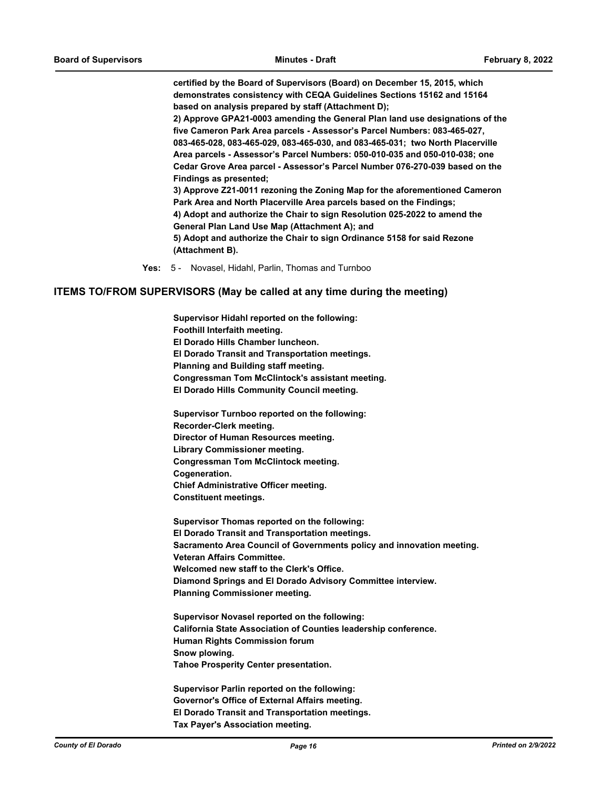**certified by the Board of Supervisors (Board) on December 15, 2015, which demonstrates consistency with CEQA Guidelines Sections 15162 and 15164 based on analysis prepared by staff (Attachment D);** 

**2) Approve GPA21-0003 amending the General Plan land use designations of the five Cameron Park Area parcels - Assessor's Parcel Numbers: 083-465-027, 083-465-028, 083-465-029, 083-465-030, and 083-465-031; two North Placerville Area parcels - Assessor's Parcel Numbers: 050-010-035 and 050-010-038; one Cedar Grove Area parcel - Assessor's Parcel Number 076-270-039 based on the Findings as presented;** 

**3) Approve Z21-0011 rezoning the Zoning Map for the aforementioned Cameron Park Area and North Placerville Area parcels based on the Findings; 4) Adopt and authorize the Chair to sign Resolution 025-2022 to amend the** 

**General Plan Land Use Map (Attachment A); and** 

**5) Adopt and authorize the Chair to sign Ordinance 5158 for said Rezone (Attachment B).**

**Yes:** 5 - Novasel, Hidahl, Parlin, Thomas and Turnboo

#### **ITEMS TO/FROM SUPERVISORS (May be called at any time during the meeting)**

**Supervisor Hidahl reported on the following: Foothill Interfaith meeting. El Dorado Hills Chamber luncheon. El Dorado Transit and Transportation meetings. Planning and Building staff meeting. Congressman Tom McClintock's assistant meeting. El Dorado Hills Community Council meeting.**

**Supervisor Turnboo reported on the following: Recorder-Clerk meeting. Director of Human Resources meeting. Library Commissioner meeting. Congressman Tom McClintock meeting. Cogeneration. Chief Administrative Officer meeting. Constituent meetings.**

**Supervisor Thomas reported on the following: El Dorado Transit and Transportation meetings. Sacramento Area Council of Governments policy and innovation meeting. Veteran Affairs Committee. Welcomed new staff to the Clerk's Office. Diamond Springs and El Dorado Advisory Committee interview. Planning Commissioner meeting.**

**Supervisor Novasel reported on the following: California State Association of Counties leadership conference. Human Rights Commission forum Snow plowing. Tahoe Prosperity Center presentation.**

**Supervisor Parlin reported on the following: Governor's Office of External Affairs meeting. El Dorado Transit and Transportation meetings. Tax Payer's Association meeting.**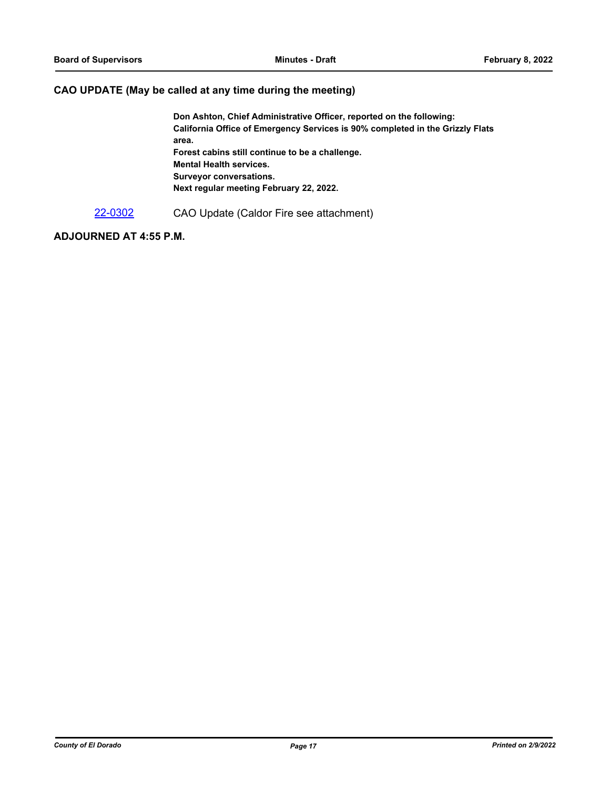#### **CAO UPDATE (May be called at any time during the meeting)**

**Don Ashton, Chief Administrative Officer, reported on the following: California Office of Emergency Services is 90% completed in the Grizzly Flats area. Forest cabins still continue to be a challenge. Mental Health services. Surveyor conversations. Next regular meeting February 22, 2022.**

[22-0302](http://eldorado.legistar.com/gateway.aspx?m=l&id=/matter.aspx?key=31203) CAO Update (Caldor Fire see attachment)

### **ADJOURNED AT 4:55 P.M.**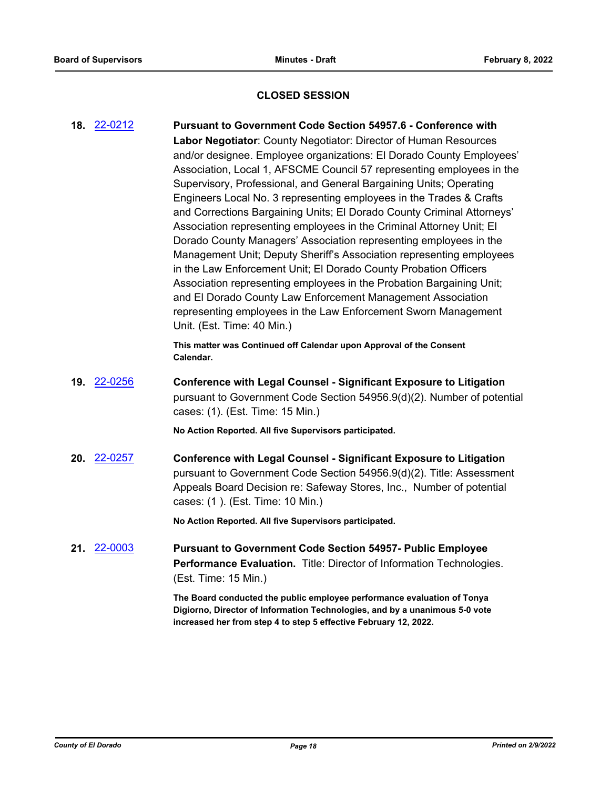#### **CLOSED SESSION**

**18.** [22-0212](http://eldorado.legistar.com/gateway.aspx?m=l&id=/matter.aspx?key=31113) **Pursuant to Government Code Section 54957.6 - Conference with Labor Negotiator**: County Negotiator: Director of Human Resources and/or designee. Employee organizations: El Dorado County Employees' Association, Local 1, AFSCME Council 57 representing employees in the Supervisory, Professional, and General Bargaining Units; Operating Engineers Local No. 3 representing employees in the Trades & Crafts and Corrections Bargaining Units; El Dorado County Criminal Attorneys' Association representing employees in the Criminal Attorney Unit; El Dorado County Managers' Association representing employees in the Management Unit; Deputy Sheriff's Association representing employees in the Law Enforcement Unit; El Dorado County Probation Officers Association representing employees in the Probation Bargaining Unit; and El Dorado County Law Enforcement Management Association representing employees in the Law Enforcement Sworn Management Unit. (Est. Time: 40 Min.)

> **This matter was Continued off Calendar upon Approval of the Consent Calendar.**

**19.** [22-0256](http://eldorado.legistar.com/gateway.aspx?m=l&id=/matter.aspx?key=31157) **Conference with Legal Counsel - Significant Exposure to Litigation** pursuant to Government Code Section 54956.9(d)(2). Number of potential cases: (1). (Est. Time: 15 Min.)

**No Action Reported. All five Supervisors participated.**

**20.** [22-0257](http://eldorado.legistar.com/gateway.aspx?m=l&id=/matter.aspx?key=31158) **Conference with Legal Counsel - Significant Exposure to Litigation** pursuant to Government Code Section 54956.9(d)(2). Title: Assessment Appeals Board Decision re: Safeway Stores, Inc., Number of potential cases: (1 ). (Est. Time: 10 Min.)

**No Action Reported. All five Supervisors participated.**

**21.** [22-0003](http://eldorado.legistar.com/gateway.aspx?m=l&id=/matter.aspx?key=30904) **Pursuant to Government Code Section 54957- Public Employee Performance Evaluation.** Title: Director of Information Technologies. (Est. Time: 15 Min.)

> **The Board conducted the public employee performance evaluation of Tonya Digiorno, Director of Information Technologies, and by a unanimous 5-0 vote increased her from step 4 to step 5 effective February 12, 2022.**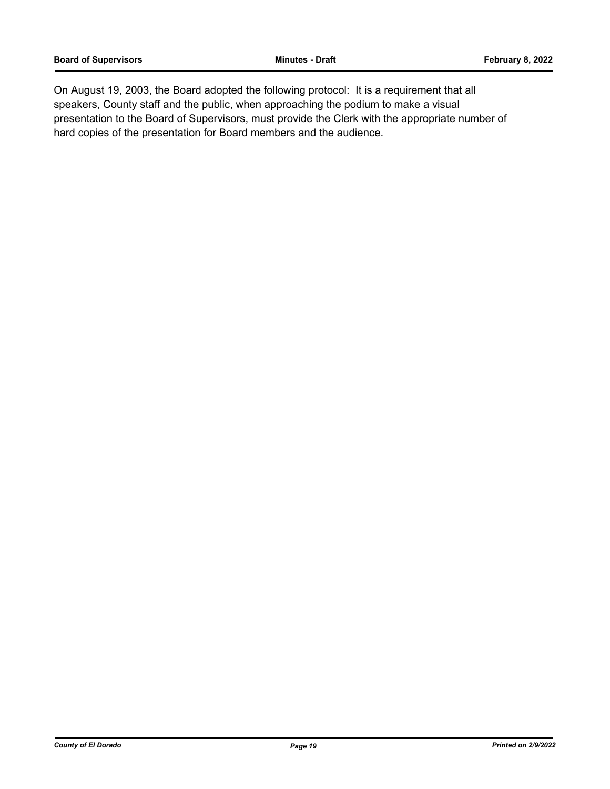On August 19, 2003, the Board adopted the following protocol: It is a requirement that all speakers, County staff and the public, when approaching the podium to make a visual presentation to the Board of Supervisors, must provide the Clerk with the appropriate number of hard copies of the presentation for Board members and the audience.